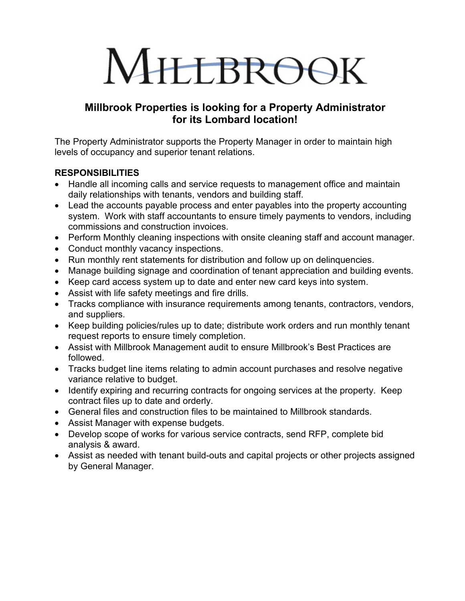# MHLBROOK

# **Millbrook Properties is looking for a Property Administrator for its Lombard location!**

The Property Administrator supports the Property Manager in order to maintain high levels of occupancy and superior tenant relations.

## **RESPONSIBILITIES**

- Handle all incoming calls and service requests to management office and maintain daily relationships with tenants, vendors and building staff.
- Lead the accounts payable process and enter payables into the property accounting system. Work with staff accountants to ensure timely payments to vendors, including commissions and construction invoices.
- Perform Monthly cleaning inspections with onsite cleaning staff and account manager.
- Conduct monthly vacancy inspections.
- Run monthly rent statements for distribution and follow up on delinquencies.
- Manage building signage and coordination of tenant appreciation and building events.
- Keep card access system up to date and enter new card keys into system.
- Assist with life safety meetings and fire drills.
- Tracks compliance with insurance requirements among tenants, contractors, vendors, and suppliers.
- Keep building policies/rules up to date; distribute work orders and run monthly tenant request reports to ensure timely completion.
- Assist with Millbrook Management audit to ensure Millbrook's Best Practices are followed.
- Tracks budget line items relating to admin account purchases and resolve negative variance relative to budget.
- Identify expiring and recurring contracts for ongoing services at the property. Keep contract files up to date and orderly.
- General files and construction files to be maintained to Millbrook standards.
- Assist Manager with expense budgets.
- Develop scope of works for various service contracts, send RFP, complete bid analysis & award.
- Assist as needed with tenant build-outs and capital projects or other projects assigned by General Manager.